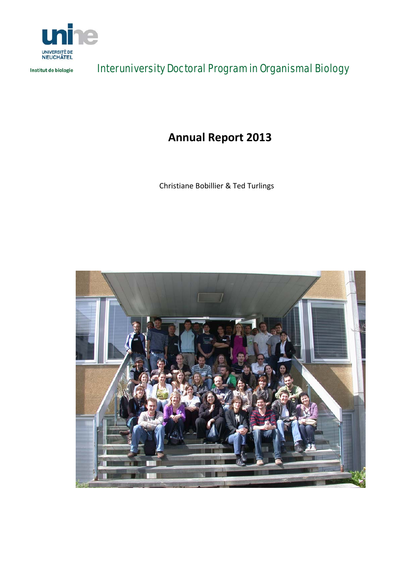

Institut de biologie

Interuniversity Doctoral Program in Organismal Biology

**Annual Report 2013**

Christiane Bobillier & Ted Turlings

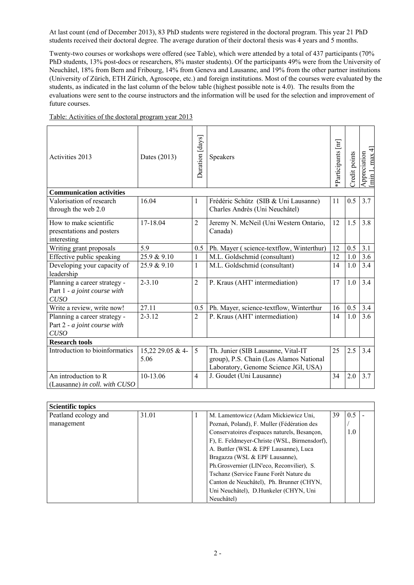At last count (end of December 2013), 83 PhD students were registered in the doctoral program. This year 21 PhD students received their doctoral degree. The average duration of their doctoral thesis was 4 years and 5 months.

Twenty-two courses or workshops were offered (see Table), which were attended by a total of 437 participants (70% PhD students, 13% post-docs or researchers, 8% master students). Of the participants 49% were from the University of Neuchâtel, 18% from Bern and Fribourg, 14% from Geneva and Lausanne, and 19% from the other partner institutions (University of Zürich, ETH Zürich, Agroscope, etc.) and foreign institutions. Most of the courses were evaluated by the students, as indicated in the last column of the below table (highest possible note is 4.0). The results from the evaluations were sent to the course instructors and the information will be used for the selection and improvement of future courses.

| Activities 2013                 | Dates (2013)     | Duration [days] | Speakers                                 | Participants [nr] | Credit points | max 4<br>Appreciation<br>Imin 1, max 4 |
|---------------------------------|------------------|-----------------|------------------------------------------|-------------------|---------------|----------------------------------------|
| <b>Communication activities</b> |                  |                 |                                          |                   |               |                                        |
| Valorisation of research        | 16.04            | $\mathbf{1}$    | Frédéric Schütz (SIB & Uni Lausanne)     | 11                | 0.5           | 3.7                                    |
| through the web 2.0             |                  |                 | Charles Andrès (Uni Neuchâtel)           |                   |               |                                        |
| How to make scientific          | 17-18.04         | $\overline{2}$  | Jeremy N. McNeil (Uni Western Ontario,   | 12                | 1.5           | 3.8                                    |
| presentations and posters       |                  |                 | Canada)                                  |                   |               |                                        |
| interesting                     |                  |                 |                                          |                   |               |                                        |
| Writing grant proposals         | 5.9              | 0.5             | Ph. Mayer (science-textflow, Winterthur) | 12                | 0.5           | 3.1                                    |
| Effective public speaking       | 25.9 & 9.10      | 1               | M.L. Goldschmid (consultant)             | 12                | 1.0           | 3.6                                    |
| Developing your capacity of     | 25.9 & 9.10      | 1               | M.L. Goldschmid (consultant)             | 14                | 1.0           | 3.4                                    |
| leadership                      |                  |                 |                                          |                   |               |                                        |
| Planning a career strategy -    | $2 - 3.10$       | $\overline{2}$  | P. Kraus (AHT' intermediation)           | 17                | 1.0           | 3.4                                    |
| Part 1 - a joint course with    |                  |                 |                                          |                   |               |                                        |
| <b>CUSO</b>                     |                  |                 |                                          |                   |               |                                        |
| Write a review, write now!      | 27.11            | 0.5             | Ph. Mayer, science-textflow, Winterthur  | 16                | 0.5           | 3.4                                    |
| Planning a career strategy -    | $2 - 3.12$       | $\overline{2}$  | P. Kraus (AHT' intermediation)           | 14                | 1.0           | 3.6                                    |
| Part 2 - a joint course with    |                  |                 |                                          |                   |               |                                        |
| <b>CUSO</b>                     |                  |                 |                                          |                   |               |                                        |
| <b>Research tools</b>           |                  |                 |                                          |                   |               |                                        |
| Introduction to bioinformatics  | 15,22 29.05 & 4- | 5               | Th. Junier (SIB Lausanne, Vital-IT       | 25                | 2.5           | 3.4                                    |
|                                 | 5.06             |                 | group), P.S. Chain (Los Alamos National  |                   |               |                                        |
|                                 |                  |                 | Laboratory, Genome Science JGI, USA)     |                   |               |                                        |
| An introduction to R            | 10-13.06         | $\overline{4}$  | J. Goudet (Uni Lausanne)                 | 34                | 2.0           | 3.7                                    |
| (Lausanne) in coll. with CUSO   |                  |                 |                                          |                   |               |                                        |

Table: Activities of the doctoral program year 2013

| <b>Scientific topics</b> |       |                                              |    |     |  |
|--------------------------|-------|----------------------------------------------|----|-----|--|
| Peatland ecology and     | 31.01 | M. Lamentowicz (Adam Mickiewicz Uni,         | 39 | 0.5 |  |
| management               |       | Poznań, Poland), F. Muller (Fédération des   |    |     |  |
|                          |       | Conservatoires d'espaces naturels, Besançon, |    | 1.0 |  |
|                          |       | F), E. Feldmeyer-Christe (WSL, Birmensdorf), |    |     |  |
|                          |       | A. Buttler (WSL & EPF Lausanne), Luca        |    |     |  |
|                          |       | Bragazza (WSL & EPF Lausanne),               |    |     |  |
|                          |       | Ph.Grosvernier (LIN'eco, Reconvilier), S.    |    |     |  |
|                          |       | Tschanz (Service Faune Forêt Nature du       |    |     |  |
|                          |       | Canton de Neuchâtel), Ph. Brunner (CHYN,     |    |     |  |
|                          |       | Uni Neuchâtel), D.Hunkeler (CHYN, Uni        |    |     |  |
|                          |       | Neuchâtel)                                   |    |     |  |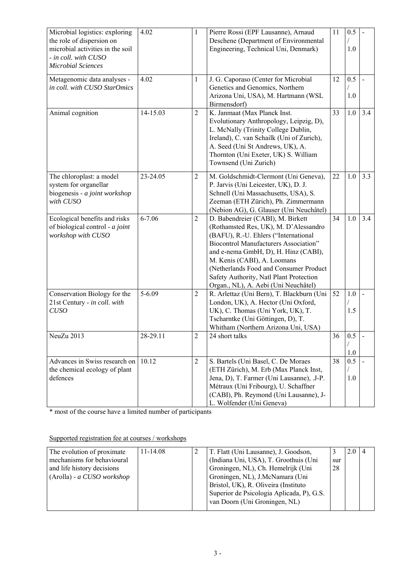| Microbial logistics: exploring   | 4.02       | $\mathbf{1}$   | Pierre Rossi (EPF Lausanne), Arnaud          | 11 | 0.5 |     |
|----------------------------------|------------|----------------|----------------------------------------------|----|-----|-----|
| the role of dispersion on        |            |                | Deschene (Department of Environmental        |    |     |     |
| microbial activities in the soil |            |                | Engineering, Technical Uni, Denmark)         |    | 1.0 |     |
| - in coll. with CUSO             |            |                |                                              |    |     |     |
| <b>Microbial Sciences</b>        |            |                |                                              |    |     |     |
|                                  |            |                |                                              |    |     |     |
| Metagenomic data analyses -      | 4.02       | $\mathbf{1}$   | J. G. Caporaso (Center for Microbial         | 12 | 0.5 |     |
| in coll. with CUSO StarOmics     |            |                | Genetics and Genomics, Northern              |    |     |     |
|                                  |            |                | Arizona Uni, USA), M. Hartmann (WSL          |    | 1.0 |     |
|                                  |            |                | Birmensdorf)                                 |    |     |     |
|                                  |            |                |                                              |    |     |     |
| Animal cognition                 | 14-15.03   | $\overline{2}$ | K. Janmaat (Max Planck Inst.                 | 33 | 1.0 | 3.4 |
|                                  |            |                | Evolutionary Anthropology, Leipzig, D),      |    |     |     |
|                                  |            |                | L. McNally (Trinity College Dublin,          |    |     |     |
|                                  |            |                | Ireland), C. van Schailk (Uni of Zurich),    |    |     |     |
|                                  |            |                | A. Seed (Uni St Andrews, UK), A.             |    |     |     |
|                                  |            |                | Thornton (Uni Exeter, UK) S. William         |    |     |     |
|                                  |            |                | Townsend (Uni Zurich)                        |    |     |     |
|                                  |            |                |                                              |    |     |     |
| The chloroplast: a model         | 23-24.05   | $\overline{c}$ | M. Goldschmidt-Clermont (Uni Geneva),        | 22 | 1.0 | 3.3 |
| system for organellar            |            |                | P. Jarvis (Uni Leicester, UK), D. J.         |    |     |     |
| biogenesis - a joint workshop    |            |                | Schnell (Uni Massachusetts, USA), S.         |    |     |     |
|                                  |            |                |                                              |    |     |     |
| with CUSO                        |            |                | Zeeman (ETH Zürich), Ph. Zimmermann          |    |     |     |
|                                  |            |                | (Nebion AG), G. Glauser (Uni Neuchâtel)      |    |     |     |
| Ecological benefits and risks    | $6 - 7.06$ | $\overline{c}$ | D. Babendreier (CABI), M. Birkett            | 34 | 1.0 | 3.4 |
| of biological control - a joint  |            |                | (Rothamsted Res, UK), M. D'Alessandro        |    |     |     |
| workshop with CUSO               |            |                | (BAFU), R.-U. Ehlers ("International         |    |     |     |
|                                  |            |                | <b>Biocontrol Manufacturers Association"</b> |    |     |     |
|                                  |            |                | and e-nema GmbH, D), H. Hinz (CABI),         |    |     |     |
|                                  |            |                | M. Kenis (CABI), A. Loomans                  |    |     |     |
|                                  |            |                |                                              |    |     |     |
|                                  |            |                | (Netherlands Food and Consumer Product       |    |     |     |
|                                  |            |                | Safety Authority, Natl Plant Protection      |    |     |     |
|                                  |            |                | Organ., NL), A. Aebi (Uni Neuchâtel)         |    |     |     |
| Conservation Biology for the     | $5 - 6.09$ | $\overline{c}$ | R. Arlettaz (Uni Bern), T. Blackburn (Uni    | 52 | 1.0 |     |
| 21st Century - in coll. with     |            |                | London, UK), A. Hector (Uni Oxford,          |    |     |     |
| <b>CUSO</b>                      |            |                | UK), C. Thomas (Uni York, UK), T.            |    | 1.5 |     |
|                                  |            |                | Tscharntke (Uni Göttingen, D), T.            |    |     |     |
|                                  |            |                | Whitham (Northern Arizona Uni, USA)          |    |     |     |
| NeuZu $2013$                     | 28-29.11   | $\overline{2}$ | 24 short talks                               | 36 | 0.5 |     |
|                                  |            |                |                                              |    |     |     |
|                                  |            |                |                                              |    |     |     |
|                                  |            |                |                                              |    | 1.0 |     |
| Advances in Swiss research on    | 10.12      | $\overline{2}$ | S. Bartels (Uni Basel, C. De Moraes          | 38 | 0.5 |     |
| the chemical ecology of plant    |            |                | (ETH Zürich), M. Erb (Max Planck Inst,       |    |     |     |
| defences                         |            |                | Jena, D), T. Farmer (Uni Lausanne), .J-P.    |    | 1.0 |     |
|                                  |            |                | Métraux (Uni Fribourg), U. Schaffner         |    |     |     |
|                                  |            |                | (CABI), Ph. Reymond (Uni Lausanne), J-       |    |     |     |
|                                  |            |                | L. Wolfender (Uni Geneva)                    |    |     |     |
|                                  |            |                |                                              |    |     |     |

\* most of the course have a limited number of participants

Supported registration fee at courses / workshops

| The evolution of proximate   | $11 - 14.08$ | T. Flatt (Uni Lausanne), J. Goodson,      |     | 2.0 |  |
|------------------------------|--------------|-------------------------------------------|-----|-----|--|
| mechanisms for behavioural   |              | (Indiana Uni, USA), T. Groothuis (Uni     | sur |     |  |
| and life history decisions   |              | Groningen, NL), Ch. Hemelrijk (Uni        | 28  |     |  |
| $(Arolla) - a CUSO$ workshop |              | Groningen, NL), J.McNamara (Uni           |     |     |  |
|                              |              | Bristol, UK), R. Oliveira (Instituto)     |     |     |  |
|                              |              | Superior de Psicologia Aplicada, P), G.S. |     |     |  |
|                              |              | van Doorn (Uni Groningen, NL)             |     |     |  |
|                              |              |                                           |     |     |  |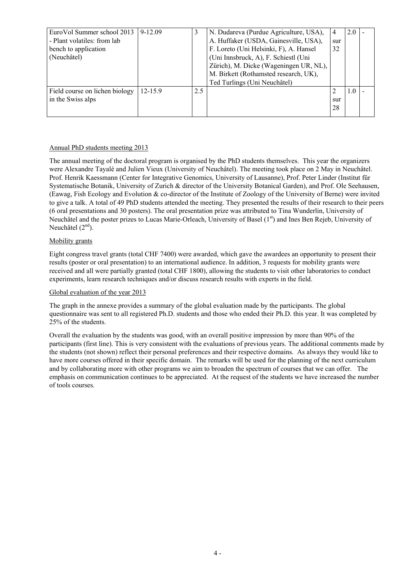| EuroVol Summer school 2013<br>- Plant volatiles: from lab<br>bench to application<br>(Neuchâtel) | $9 - 12.09$ |     | N. Dudareva (Purdue Agriculture, USA),<br>A. Huffaker (USDA, Gainesville, USA),<br>F. Loreto (Uni Helsinki, F), A. Hansel<br>(Uni Innsbruck, A), F. Schiestl (Uni<br>Zürich), M. Dicke (Wageningen UR, NL),<br>M. Birkett (Rothamsted research, UK),<br>Ted Turlings (Uni Neuchâtel) | 4<br>sur<br>32 | 2.0 |  |
|--------------------------------------------------------------------------------------------------|-------------|-----|--------------------------------------------------------------------------------------------------------------------------------------------------------------------------------------------------------------------------------------------------------------------------------------|----------------|-----|--|
| Field course on lichen biology<br>in the Swiss alps                                              | $12 - 15.9$ | 2.5 |                                                                                                                                                                                                                                                                                      | 2<br>sur<br>28 | 1.0 |  |

## Annual PhD students meeting 2013

The annual meeting of the doctoral program is organised by the PhD students themselves. This year the organizers were Alexandre Tayalé and Julien Vieux (University of Neuchâtel). The meeting took place on 2 May in Neuchâtel. Prof. Henrik Kaessmann (Center for Integrative Genomics, University of Lausanne), Prof. Peter Linder (Institut für Systematische Botanik, University of Zurich & director of the University Botanical Garden), and Prof. Ole Seehausen, (Eawag, Fish Ecology and Evolution & co-director of the Institute of Zoology of the University of Berne) were invited to give a talk. A total of 49 PhD students attended the meeting. They presented the results of their research to their peers (6 oral presentations and 30 posters). The oral presentation prize was attributed to Tina Wunderlin, University of Neuchâtel and the poster prizes to Lucas Marie-Orleach, University of Basel (1<sup>st</sup>) and Ines Ben Rejeb, University of Neuchâtel  $(2<sup>nd</sup>)$ .

## Mobility grants

Eight congress travel grants (total CHF 7400) were awarded, which gave the awardees an opportunity to present their results (poster or oral presentation) to an international audience. In addition, 3 requests for mobility grants were received and all were partially granted (total CHF 1800), allowing the students to visit other laboratories to conduct experiments, learn research techniques and/or discuss research results with experts in the field.

## Global evaluation of the year 2013

The graph in the annexe provides a summary of the global evaluation made by the participants. The global questionnaire was sent to all registered Ph.D. students and those who ended their Ph.D. this year. It was completed by 25% of the students.

Overall the evaluation by the students was good, with an overall positive impression by more than 90% of the participants (first line). This is very consistent with the evaluations of previous years. The additional comments made by the students (not shown) reflect their personal preferences and their respective domains. As always they would like to have more courses offered in their specific domain. The remarks will be used for the planning of the next curriculum and by collaborating more with other programs we aim to broaden the spectrum of courses that we can offer. The emphasis on communication continues to be appreciated. At the request of the students we have increased the number of tools courses.